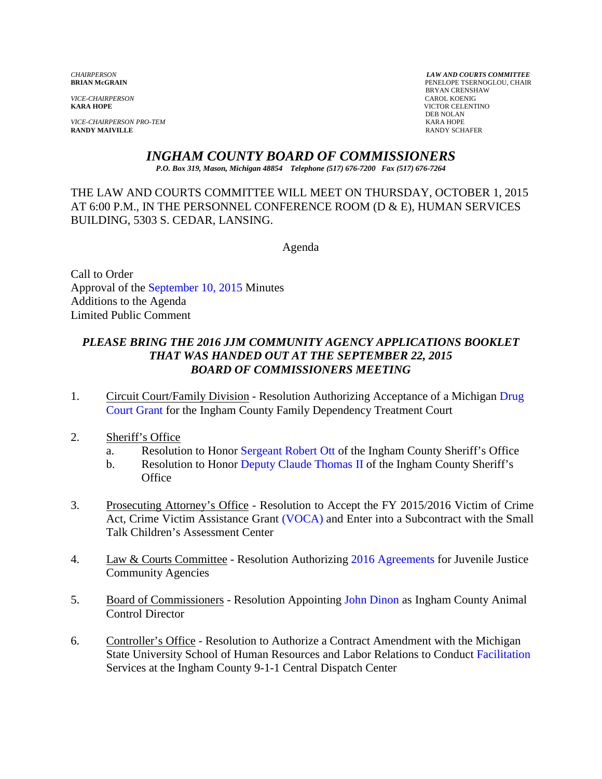*VICE-CHAIRPERSON*<br>**KARA HOPE** 

*VICE-CHAIRPERSON PRO-TEM* KARA HOPE **RANDY MAIVILLE** 

*CHAIRPERSON LAW AND COURTS COMMITTEE* PENELOPE TSERNOGLOU, CHAIR BRYAN CRENSHAW **KICTOR CELENTINO** DEB NOLAN<br>KARA HOPE

### *INGHAM COUNTY BOARD OF COMMISSIONERS*

*P.O. Box 319, Mason, Michigan 48854 Telephone (517) 676-7200 Fax (517) 676-7264*

THE LAW AND COURTS COMMITTEE WILL MEET ON THURSDAY, OCTOBER 1, 2015 AT 6:00 P.M., IN THE PERSONNEL CONFERENCE ROOM (D & E), HUMAN SERVICES BUILDING, 5303 S. CEDAR, LANSING.

Agenda

Call to Order Approval of [the September 10, 2015 Minutes](#page-2-0)  Additions to the Agenda Limited Public Comment

### *PLEASE BRING THE 2016 JJM COMMUNITY AGENCY APPLICATIONS BOOKLET THAT WAS HANDED OUT AT THE SEPTEMBER 22, 2015 BOARD OF COMMISSIONERS MEETING*

- 1. Circuit Court/Family Division Resolution Authorizing Acceptance of a Michigan Drug [Court Grant for th](#page-11-0)e Ingham County Family Dependency Treatment Court
- 2. Sheriff's Office
	- a. Resolution to Hon[or Sergeant Robert Ott](#page-14-0) of the Ingham County Sheriff's Office
	- b. Resolution to Hono[r Deputy Claude Thomas II](#page-17-0) of the Ingham County Sheriff's **Office**
- 3. Prosecuting Attorney's Office Resolution to Accept the FY 2015/2016 Victim of Crime Act, Crime Victim Assistance G[rant \(VOCA\) and Ent](#page-19-0)er into a Subcontract with the Small Talk Children's Assessment Center
- 4. Law & Courts Committee Resolution Authorizi[ng 2016 Agreements](#page-21-0) for Juvenile Justice Community Agencies
- 5. Board of Commissioners Resolution Appointi[ng John Dinon as Ingham](#page-23-0) County Animal Control Director
- 6. Controller's Office Resolution to Authorize a Contract Amendment with the Michigan State University School of Human Resources and Labor Relations to Con[duct Facilitation](#page-25-0) Services at the Ingham County 9-1-1 Central Dispatch Center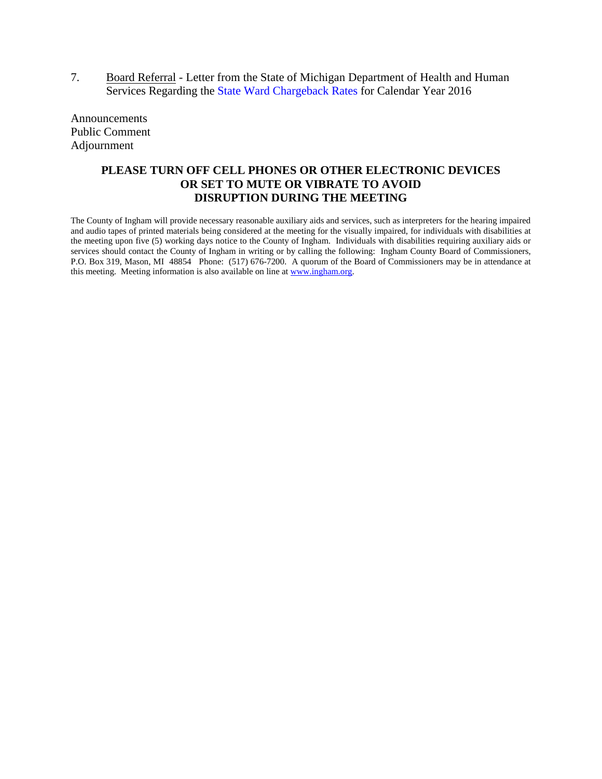7. Board Referral - Le[tter from the State of Michigan Departm](#page-28-0)ent of Health and Human Services Regarding the State Ward Chargeback Rates for Calendar Year 2016

Announcements Public Comment Adjournment

#### **PLEASE TURN OFF CELL PHONES OR OTHER ELECTRONIC DEVICES OR SET TO MUTE OR VIBRATE TO AVOID DISRUPTION DURING THE MEETING**

The County of Ingham will provide necessary reasonable auxiliary aids and services, such as interpreters for the hearing impaired and audio tapes of printed materials being considered at the meeting for the visually impaired, for individuals with disabilities at the meeting upon five (5) working days notice to the County of Ingham. Individuals with disabilities requiring auxiliary aids or services should contact the County of Ingham in writing or by calling the following: Ingham County Board of Commissioners, P.O. Box 319, Mason, MI 48854 Phone: (517) 676-7200. A quorum of the Board of Commissioners may be in attendance at this meeting. Meeting information is also available on line a[t www.ingham.org.](http://www.ingham.org/)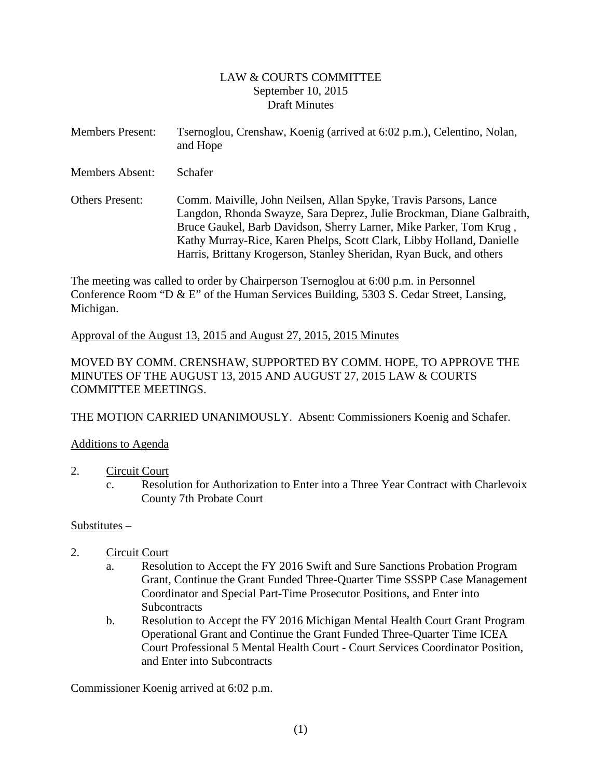#### LAW & COURTS COMMITTEE September 10, 2015 Draft Minutes

<span id="page-2-0"></span>

| <b>Members Present:</b> | Tsernoglou, Crenshaw, Koenig (arrived at 6:02 p.m.), Celentino, Nolan,<br>and Hope |
|-------------------------|------------------------------------------------------------------------------------|
| <b>Members Absent:</b>  | <b>Schafer</b>                                                                     |

Others Present: Comm. Maiville, John Neilsen, Allan Spyke, Travis Parsons, Lance Langdon, Rhonda Swayze, Sara Deprez, Julie Brockman, Diane Galbraith, Bruce Gaukel, Barb Davidson, Sherry Larner, Mike Parker, Tom Krug , Kathy Murray-Rice, Karen Phelps, Scott Clark, Libby Holland, Danielle Harris, Brittany Krogerson, Stanley Sheridan, Ryan Buck, and others

The meeting was called to order by Chairperson Tsernoglou at 6:00 p.m. in Personnel Conference Room "D & E" of the Human Services Building, 5303 S. Cedar Street, Lansing, Michigan.

Approval of the August 13, 2015 and August 27, 2015, 2015 Minutes

MOVED BY COMM. CRENSHAW, SUPPORTED BY COMM. HOPE, TO APPROVE THE MINUTES OF THE AUGUST 13, 2015 AND AUGUST 27, 2015 LAW & COURTS COMMITTEE MEETINGS.

THE MOTION CARRIED UNANIMOUSLY. Absent: Commissioners Koenig and Schafer.

#### Additions to Agenda

#### 2. Circuit Court

c. Resolution for Authorization to Enter into a Three Year Contract with Charlevoix County 7th Probate Court

#### Substitutes –

- 2. Circuit Court
	- a. Resolution to Accept the FY 2016 Swift and Sure Sanctions Probation Program Grant, Continue the Grant Funded Three-Quarter Time SSSPP Case Management Coordinator and Special Part-Time Prosecutor Positions, and Enter into **Subcontracts**
	- b. Resolution to Accept the FY 2016 Michigan Mental Health Court Grant Program Operational Grant and Continue the Grant Funded Three-Quarter Time ICEA Court Professional 5 Mental Health Court - Court Services Coordinator Position, and Enter into Subcontracts

Commissioner Koenig arrived at 6:02 p.m.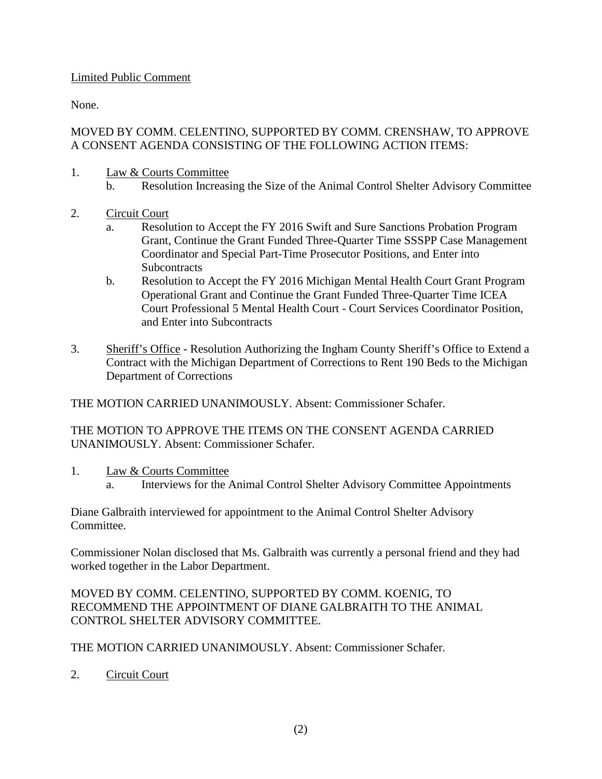### Limited Public Comment

None.

### MOVED BY COMM. CELENTINO, SUPPORTED BY COMM. CRENSHAW, TO APPROVE A CONSENT AGENDA CONSISTING OF THE FOLLOWING ACTION ITEMS:

- 1. Law & Courts Committee
	- b. Resolution Increasing the Size of the Animal Control Shelter Advisory Committee
- 2. Circuit Court
	- a. Resolution to Accept the FY 2016 Swift and Sure Sanctions Probation Program Grant, Continue the Grant Funded Three-Quarter Time SSSPP Case Management Coordinator and Special Part-Time Prosecutor Positions, and Enter into **Subcontracts**
	- b. Resolution to Accept the FY 2016 Michigan Mental Health Court Grant Program Operational Grant and Continue the Grant Funded Three-Quarter Time ICEA Court Professional 5 Mental Health Court - Court Services Coordinator Position, and Enter into Subcontracts
- 3. Sheriff's Office Resolution Authorizing the Ingham County Sheriff's Office to Extend a Contract with the Michigan Department of Corrections to Rent 190 Beds to the Michigan Department of Corrections

THE MOTION CARRIED UNANIMOUSLY. Absent: Commissioner Schafer.

THE MOTION TO APPROVE THE ITEMS ON THE CONSENT AGENDA CARRIED UNANIMOUSLY. Absent: Commissioner Schafer.

- 1. Law & Courts Committee
	- a. Interviews for the Animal Control Shelter Advisory Committee Appointments

Diane Galbraith interviewed for appointment to the Animal Control Shelter Advisory Committee.

Commissioner Nolan disclosed that Ms. Galbraith was currently a personal friend and they had worked together in the Labor Department.

#### MOVED BY COMM. CELENTINO, SUPPORTED BY COMM. KOENIG, TO RECOMMEND THE APPOINTMENT OF DIANE GALBRAITH TO THE ANIMAL CONTROL SHELTER ADVISORY COMMITTEE.

THE MOTION CARRIED UNANIMOUSLY. Absent: Commissioner Schafer.

2. Circuit Court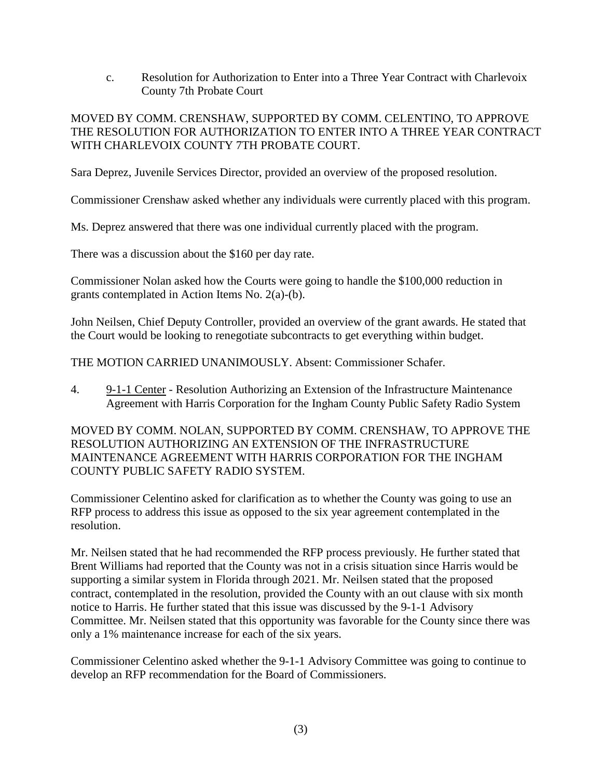c. Resolution for Authorization to Enter into a Three Year Contract with Charlevoix County 7th Probate Court

### MOVED BY COMM. CRENSHAW, SUPPORTED BY COMM. CELENTINO, TO APPROVE THE RESOLUTION FOR AUTHORIZATION TO ENTER INTO A THREE YEAR CONTRACT WITH CHARLEVOIX COUNTY 7TH PROBATE COURT.

Sara Deprez, Juvenile Services Director, provided an overview of the proposed resolution.

Commissioner Crenshaw asked whether any individuals were currently placed with this program.

Ms. Deprez answered that there was one individual currently placed with the program.

There was a discussion about the \$160 per day rate.

Commissioner Nolan asked how the Courts were going to handle the \$100,000 reduction in grants contemplated in Action Items No. 2(a)-(b).

John Neilsen, Chief Deputy Controller, provided an overview of the grant awards. He stated that the Court would be looking to renegotiate subcontracts to get everything within budget.

THE MOTION CARRIED UNANIMOUSLY. Absent: Commissioner Schafer.

4. 9-1-1 Center - Resolution Authorizing an Extension of the Infrastructure Maintenance Agreement with Harris Corporation for the Ingham County Public Safety Radio System

MOVED BY COMM. NOLAN, SUPPORTED BY COMM. CRENSHAW, TO APPROVE THE RESOLUTION AUTHORIZING AN EXTENSION OF THE INFRASTRUCTURE MAINTENANCE AGREEMENT WITH HARRIS CORPORATION FOR THE INGHAM COUNTY PUBLIC SAFETY RADIO SYSTEM.

Commissioner Celentino asked for clarification as to whether the County was going to use an RFP process to address this issue as opposed to the six year agreement contemplated in the resolution.

Mr. Neilsen stated that he had recommended the RFP process previously. He further stated that Brent Williams had reported that the County was not in a crisis situation since Harris would be supporting a similar system in Florida through 2021. Mr. Neilsen stated that the proposed contract, contemplated in the resolution, provided the County with an out clause with six month notice to Harris. He further stated that this issue was discussed by the 9-1-1 Advisory Committee. Mr. Neilsen stated that this opportunity was favorable for the County since there was only a 1% maintenance increase for each of the six years.

Commissioner Celentino asked whether the 9-1-1 Advisory Committee was going to continue to develop an RFP recommendation for the Board of Commissioners.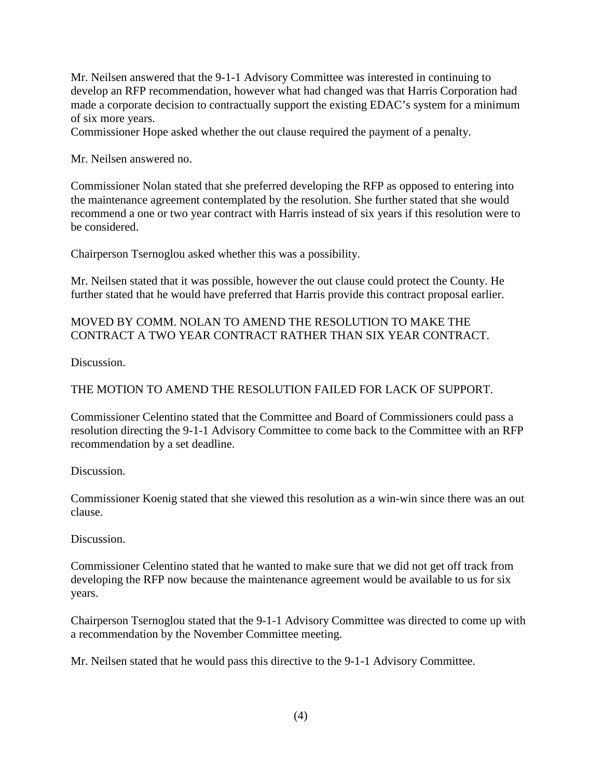Mr. Neilsen answered that the 9-1-1 Advisory Committee was interested in continuing to develop an RFP recommendation, however what had changed was that Harris Corporation had made a corporate decision to contractually support the existing EDAC's system for a minimum of six more years.

Commissioner Hope asked whether the out clause required the payment of a penalty.

Mr. Neilsen answered no.

Commissioner Nolan stated that she preferred developing the RFP as opposed to entering into the maintenance agreement contemplated by the resolution. She further stated that she would recommend a one or two year contract with Harris instead of six years if this resolution were to be considered.

Chairperson Tsernoglou asked whether this was a possibility.

Mr. Neilsen stated that it was possible, however the out clause could protect the County. He further stated that he would have preferred that Harris provide this contract proposal earlier.

### MOVED BY COMM. NOLAN TO AMEND THE RESOLUTION TO MAKE THE CONTRACT A TWO YEAR CONTRACT RATHER THAN SIX YEAR CONTRACT.

Discussion.

### THE MOTION TO AMEND THE RESOLUTION FAILED FOR LACK OF SUPPORT.

Commissioner Celentino stated that the Committee and Board of Commissioners could pass a resolution directing the 9-1-1 Advisory Committee to come back to the Committee with an RFP recommendation by a set deadline.

Discussion.

Commissioner Koenig stated that she viewed this resolution as a win-win since there was an out clause.

Discussion.

Commissioner Celentino stated that he wanted to make sure that we did not get off track from developing the RFP now because the maintenance agreement would be available to us for six years.

Chairperson Tsernoglou stated that the 9-1-1 Advisory Committee was directed to come up with a recommendation by the November Committee meeting.

Mr. Neilsen stated that he would pass this directive to the 9-1-1 Advisory Committee.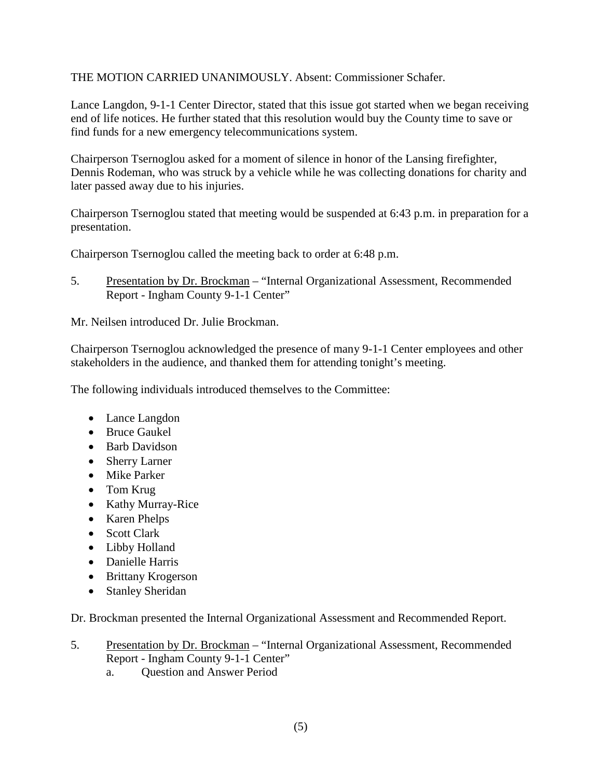THE MOTION CARRIED UNANIMOUSLY. Absent: Commissioner Schafer.

Lance Langdon, 9-1-1 Center Director, stated that this issue got started when we began receiving end of life notices. He further stated that this resolution would buy the County time to save or find funds for a new emergency telecommunications system.

Chairperson Tsernoglou asked for a moment of silence in honor of the Lansing firefighter, Dennis Rodeman, who was struck by a vehicle while he was collecting donations for charity and later passed away due to his injuries.

Chairperson Tsernoglou stated that meeting would be suspended at 6:43 p.m. in preparation for a presentation.

Chairperson Tsernoglou called the meeting back to order at 6:48 p.m.

5. Presentation by Dr. Brockman – "Internal Organizational Assessment, Recommended Report - Ingham County 9-1-1 Center"

Mr. Neilsen introduced Dr. Julie Brockman.

Chairperson Tsernoglou acknowledged the presence of many 9-1-1 Center employees and other stakeholders in the audience, and thanked them for attending tonight's meeting.

The following individuals introduced themselves to the Committee:

- Lance Langdon
- Bruce Gaukel
- Barb Davidson
- Sherry Larner
- Mike Parker
- Tom Krug
- Kathy Murray-Rice
- Karen Phelps
- Scott Clark
- Libby Holland
- Danielle Harris
- Brittany Krogerson
- Stanley Sheridan

Dr. Brockman presented the Internal Organizational Assessment and Recommended Report.

- 5. Presentation by Dr. Brockman "Internal Organizational Assessment, Recommended Report - Ingham County 9-1-1 Center"
	- a. Question and Answer Period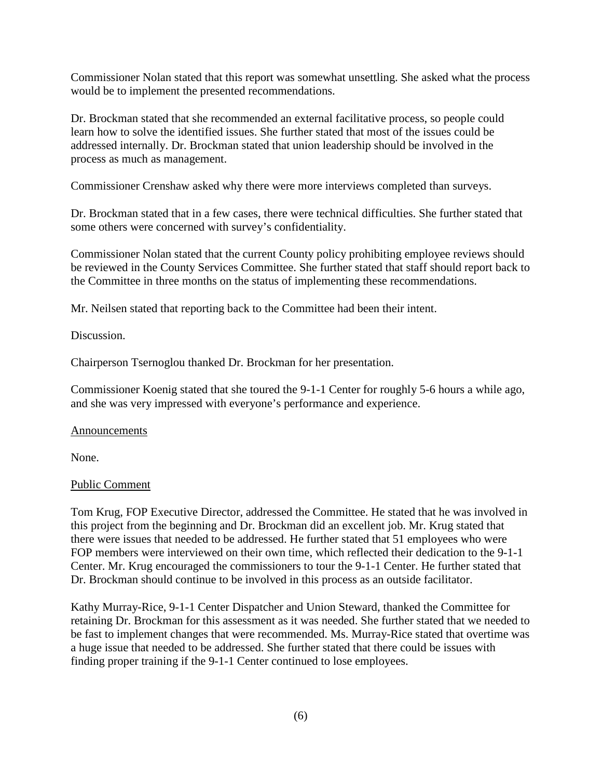Commissioner Nolan stated that this report was somewhat unsettling. She asked what the process would be to implement the presented recommendations.

Dr. Brockman stated that she recommended an external facilitative process, so people could learn how to solve the identified issues. She further stated that most of the issues could be addressed internally. Dr. Brockman stated that union leadership should be involved in the process as much as management.

Commissioner Crenshaw asked why there were more interviews completed than surveys.

Dr. Brockman stated that in a few cases, there were technical difficulties. She further stated that some others were concerned with survey's confidentiality.

Commissioner Nolan stated that the current County policy prohibiting employee reviews should be reviewed in the County Services Committee. She further stated that staff should report back to the Committee in three months on the status of implementing these recommendations.

Mr. Neilsen stated that reporting back to the Committee had been their intent.

Discussion.

Chairperson Tsernoglou thanked Dr. Brockman for her presentation.

Commissioner Koenig stated that she toured the 9-1-1 Center for roughly 5-6 hours a while ago, and she was very impressed with everyone's performance and experience.

#### Announcements

None.

#### Public Comment

Tom Krug, FOP Executive Director, addressed the Committee. He stated that he was involved in this project from the beginning and Dr. Brockman did an excellent job. Mr. Krug stated that there were issues that needed to be addressed. He further stated that 51 employees who were FOP members were interviewed on their own time, which reflected their dedication to the 9-1-1 Center. Mr. Krug encouraged the commissioners to tour the 9-1-1 Center. He further stated that Dr. Brockman should continue to be involved in this process as an outside facilitator.

Kathy Murray-Rice, 9-1-1 Center Dispatcher and Union Steward, thanked the Committee for retaining Dr. Brockman for this assessment as it was needed. She further stated that we needed to be fast to implement changes that were recommended. Ms. Murray-Rice stated that overtime was a huge issue that needed to be addressed. She further stated that there could be issues with finding proper training if the 9-1-1 Center continued to lose employees.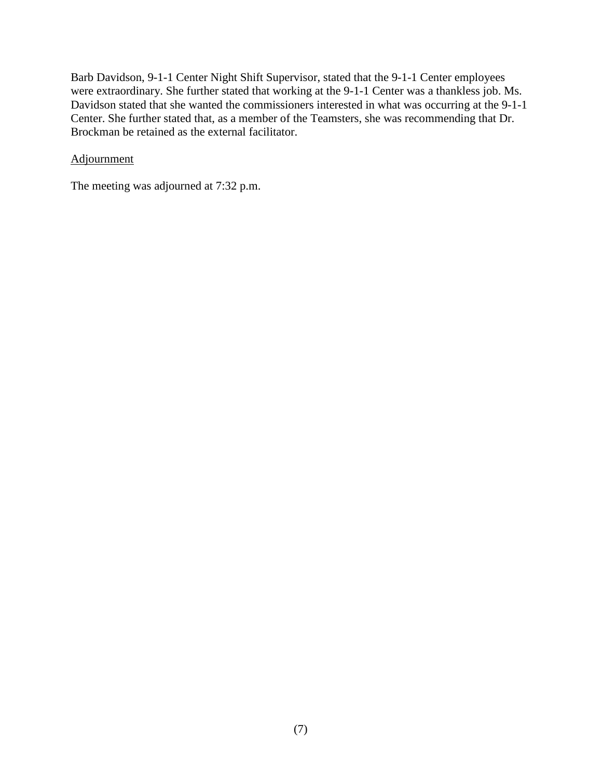Barb Davidson, 9-1-1 Center Night Shift Supervisor, stated that the 9-1-1 Center employees were extraordinary. She further stated that working at the 9-1-1 Center was a thankless job. Ms. Davidson stated that she wanted the commissioners interested in what was occurring at the 9-1-1 Center. She further stated that, as a member of the Teamsters, she was recommending that Dr. Brockman be retained as the external facilitator.

#### Adjournment

The meeting was adjourned at 7:32 p.m.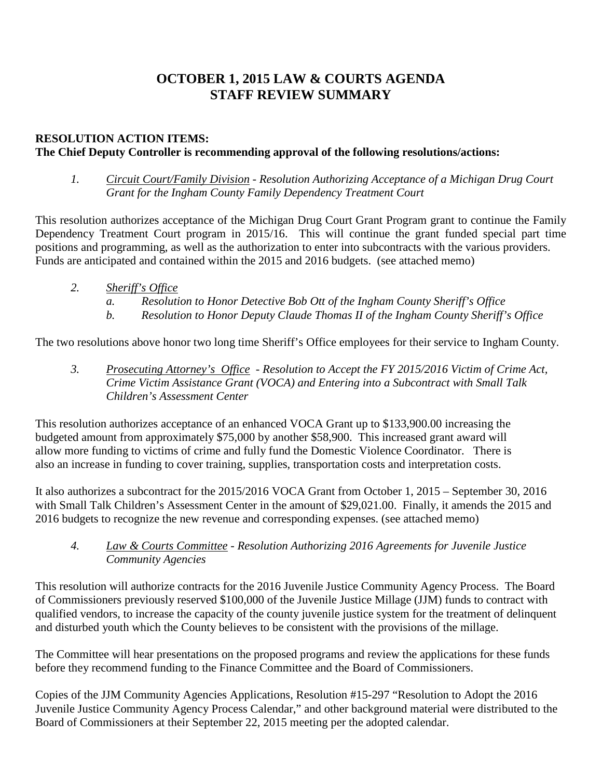# **OCTOBER 1, 2015 LAW & COURTS AGENDA STAFF REVIEW SUMMARY**

## **RESOLUTION ACTION ITEMS:**

### **The Chief Deputy Controller is recommending approval of the following resolutions/actions:**

*1. Circuit Court/Family Division - Resolution Authorizing Acceptance of a Michigan Drug Court Grant for the Ingham County Family Dependency Treatment Court*

This resolution authorizes acceptance of the Michigan Drug Court Grant Program grant to continue the Family Dependency Treatment Court program in 2015/16. This will continue the grant funded special part time positions and programming, as well as the authorization to enter into subcontracts with the various providers. Funds are anticipated and contained within the 2015 and 2016 budgets. (see attached memo)

- *2. Sheriff's Office*
	- *a. Resolution to Honor Detective Bob Ott of the Ingham County Sheriff's Office*
	- *b. Resolution to Honor Deputy Claude Thomas II of the Ingham County Sheriff's Office*

The two resolutions above honor two long time Sheriff's Office employees for their service to Ingham County.

*3. Prosecuting Attorney's Office - Resolution to Accept the FY 2015/2016 Victim of Crime Act, Crime Victim Assistance Grant (VOCA) and Entering into a Subcontract with Small Talk Children's Assessment Center* 

This resolution authorizes acceptance of an enhanced VOCA Grant up to \$133,900.00 increasing the budgeted amount from approximately \$75,000 by another \$58,900. This increased grant award will allow more funding to victims of crime and fully fund the Domestic Violence Coordinator. There is also an increase in funding to cover training, supplies, transportation costs and interpretation costs.

It also authorizes a subcontract for the 2015/2016 VOCA Grant from October 1, 2015 – September 30, 2016 with Small Talk Children's Assessment Center in the amount of \$29,021.00. Finally, it amends the 2015 and 2016 budgets to recognize the new revenue and corresponding expenses. (see attached memo)

#### *4. Law & Courts Committee - Resolution Authorizing 2016 Agreements for Juvenile Justice Community Agencies*

This resolution will authorize contracts for the 2016 Juvenile Justice Community Agency Process. The Board of Commissioners previously reserved \$100,000 of the Juvenile Justice Millage (JJM) funds to contract with qualified vendors, to increase the capacity of the county juvenile justice system for the treatment of delinquent and disturbed youth which the County believes to be consistent with the provisions of the millage.

The Committee will hear presentations on the proposed programs and review the applications for these funds before they recommend funding to the Finance Committee and the Board of Commissioners.

Copies of the JJM Community Agencies Applications, Resolution #15-297 "Resolution to Adopt the 2016 Juvenile Justice Community Agency Process Calendar," and other background material were distributed to the Board of Commissioners at their September 22, 2015 meeting per the adopted calendar.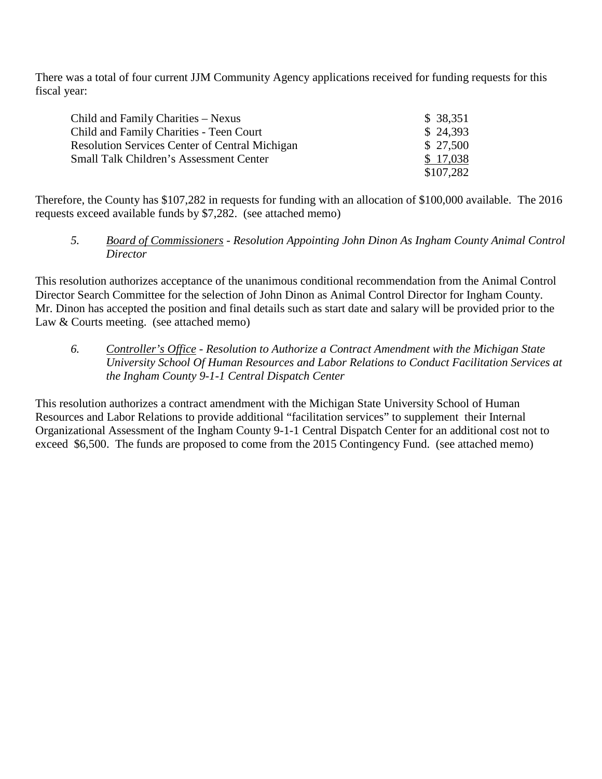There was a total of four current JJM Community Agency applications received for funding requests for this fiscal year:

| Child and Family Charities – Nexus                    | \$38,351  |
|-------------------------------------------------------|-----------|
| Child and Family Charities - Teen Court               | \$24,393  |
| <b>Resolution Services Center of Central Michigan</b> | \$27,500  |
| Small Talk Children's Assessment Center               | \$17,038  |
|                                                       | \$107,282 |

Therefore, the County has \$107,282 in requests for funding with an allocation of \$100,000 available. The 2016 requests exceed available funds by \$7,282. (see attached memo)

*5. Board of Commissioners - Resolution Appointing John Dinon As Ingham County Animal Control Director*

This resolution authorizes acceptance of the unanimous conditional recommendation from the Animal Control Director Search Committee for the selection of John Dinon as Animal Control Director for Ingham County. Mr. Dinon has accepted the position and final details such as start date and salary will be provided prior to the Law & Courts meeting. (see attached memo)

*6. Controller's Office* - *Resolution to Authorize a Contract Amendment with the Michigan State University School Of Human Resources and Labor Relations to Conduct Facilitation Services at the Ingham County 9-1-1 Central Dispatch Center*

This resolution authorizes a contract amendment with the Michigan State University School of Human Resources and Labor Relations to provide additional "facilitation services" to supplement their Internal Organizational Assessment of the Ingham County 9-1-1 Central Dispatch Center for an additional cost not to exceed \$6,500. The funds are proposed to come from the 2015 Contingency Fund. (see attached memo)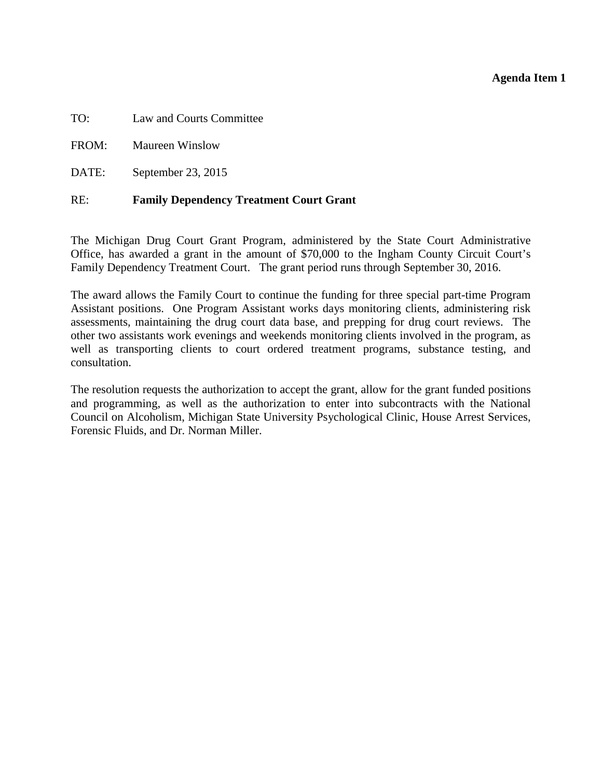#### **Agenda Item 1**

<span id="page-11-0"></span>TO: Law and Courts Committee

FROM: Maureen Winslow

DATE: September 23, 2015

#### RE: **Family Dependency Treatment Court Grant**

The Michigan Drug Court Grant Program, administered by the State Court Administrative Office, has awarded a grant in the amount of \$70,000 to the Ingham County Circuit Court's Family Dependency Treatment Court. The grant period runs through September 30, 2016.

The award allows the Family Court to continue the funding for three special part-time Program Assistant positions. One Program Assistant works days monitoring clients, administering risk assessments, maintaining the drug court data base, and prepping for drug court reviews. The other two assistants work evenings and weekends monitoring clients involved in the program, as well as transporting clients to court ordered treatment programs, substance testing, and consultation.

The resolution requests the authorization to accept the grant, allow for the grant funded positions and programming, as well as the authorization to enter into subcontracts with the National Council on Alcoholism, Michigan State University Psychological Clinic, House Arrest Services, Forensic Fluids, and Dr. Norman Miller.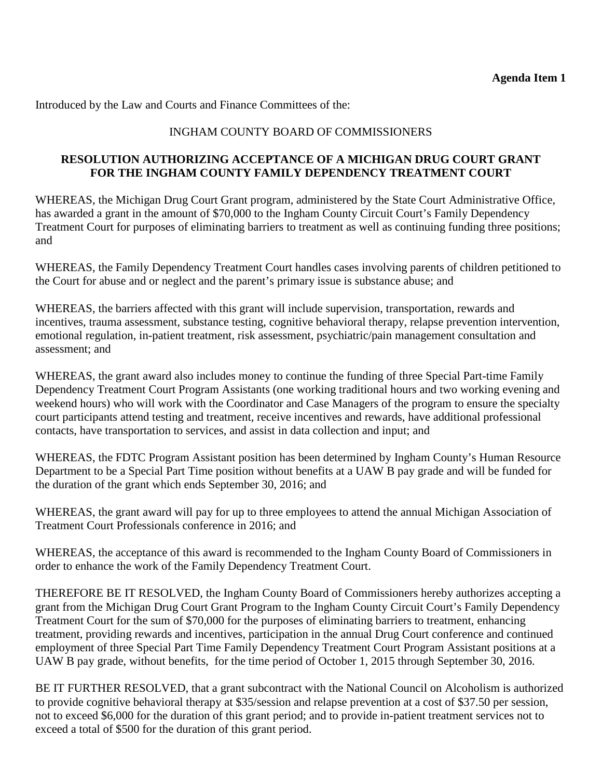Introduced by the Law and Courts and Finance Committees of the:

## INGHAM COUNTY BOARD OF COMMISSIONERS

### **RESOLUTION AUTHORIZING ACCEPTANCE OF A MICHIGAN DRUG COURT GRANT FOR THE INGHAM COUNTY FAMILY DEPENDENCY TREATMENT COURT**

WHEREAS, the Michigan Drug Court Grant program, administered by the State Court Administrative Office, has awarded a grant in the amount of \$70,000 to the Ingham County Circuit Court's Family Dependency Treatment Court for purposes of eliminating barriers to treatment as well as continuing funding three positions; and

WHEREAS, the Family Dependency Treatment Court handles cases involving parents of children petitioned to the Court for abuse and or neglect and the parent's primary issue is substance abuse; and

WHEREAS, the barriers affected with this grant will include supervision, transportation, rewards and incentives, trauma assessment, substance testing, cognitive behavioral therapy, relapse prevention intervention, emotional regulation, in-patient treatment, risk assessment, psychiatric/pain management consultation and assessment; and

WHEREAS, the grant award also includes money to continue the funding of three Special Part-time Family Dependency Treatment Court Program Assistants (one working traditional hours and two working evening and weekend hours) who will work with the Coordinator and Case Managers of the program to ensure the specialty court participants attend testing and treatment, receive incentives and rewards, have additional professional contacts, have transportation to services, and assist in data collection and input; and

WHEREAS, the FDTC Program Assistant position has been determined by Ingham County's Human Resource Department to be a Special Part Time position without benefits at a UAW B pay grade and will be funded for the duration of the grant which ends September 30, 2016; and

WHEREAS, the grant award will pay for up to three employees to attend the annual Michigan Association of Treatment Court Professionals conference in 2016; and

WHEREAS, the acceptance of this award is recommended to the Ingham County Board of Commissioners in order to enhance the work of the Family Dependency Treatment Court.

THEREFORE BE IT RESOLVED, the Ingham County Board of Commissioners hereby authorizes accepting a grant from the Michigan Drug Court Grant Program to the Ingham County Circuit Court's Family Dependency Treatment Court for the sum of \$70,000 for the purposes of eliminating barriers to treatment, enhancing treatment, providing rewards and incentives, participation in the annual Drug Court conference and continued employment of three Special Part Time Family Dependency Treatment Court Program Assistant positions at a UAW B pay grade, without benefits, for the time period of October 1, 2015 through September 30, 2016.

BE IT FURTHER RESOLVED, that a grant subcontract with the National Council on Alcoholism is authorized to provide cognitive behavioral therapy at \$35/session and relapse prevention at a cost of \$37.50 per session, not to exceed \$6,000 for the duration of this grant period; and to provide in-patient treatment services not to exceed a total of \$500 for the duration of this grant period.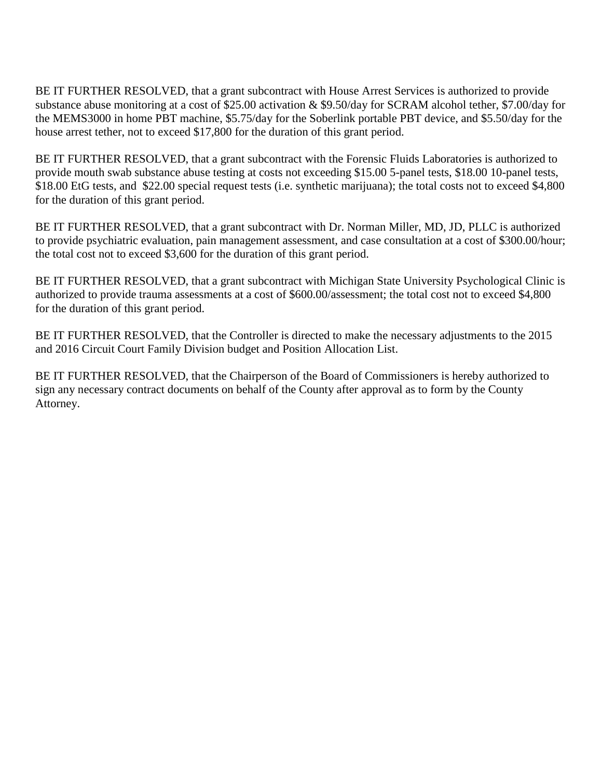BE IT FURTHER RESOLVED, that a grant subcontract with House Arrest Services is authorized to provide substance abuse monitoring at a cost of \$25.00 activation & \$9.50/day for SCRAM alcohol tether, \$7.00/day for the MEMS3000 in home PBT machine, \$5.75/day for the Soberlink portable PBT device, and \$5.50/day for the house arrest tether, not to exceed \$17,800 for the duration of this grant period.

BE IT FURTHER RESOLVED, that a grant subcontract with the Forensic Fluids Laboratories is authorized to provide mouth swab substance abuse testing at costs not exceeding \$15.00 5-panel tests, \$18.00 10-panel tests, \$18.00 EtG tests, and \$22.00 special request tests (i.e. synthetic marijuana); the total costs not to exceed \$4,800 for the duration of this grant period.

BE IT FURTHER RESOLVED, that a grant subcontract with Dr. Norman Miller, MD, JD, PLLC is authorized to provide psychiatric evaluation, pain management assessment, and case consultation at a cost of \$300.00/hour; the total cost not to exceed \$3,600 for the duration of this grant period.

BE IT FURTHER RESOLVED, that a grant subcontract with Michigan State University Psychological Clinic is authorized to provide trauma assessments at a cost of \$600.00/assessment; the total cost not to exceed \$4,800 for the duration of this grant period.

BE IT FURTHER RESOLVED, that the Controller is directed to make the necessary adjustments to the 2015 and 2016 Circuit Court Family Division budget and Position Allocation List.

BE IT FURTHER RESOLVED, that the Chairperson of the Board of Commissioners is hereby authorized to sign any necessary contract documents on behalf of the County after approval as to form by the County Attorney.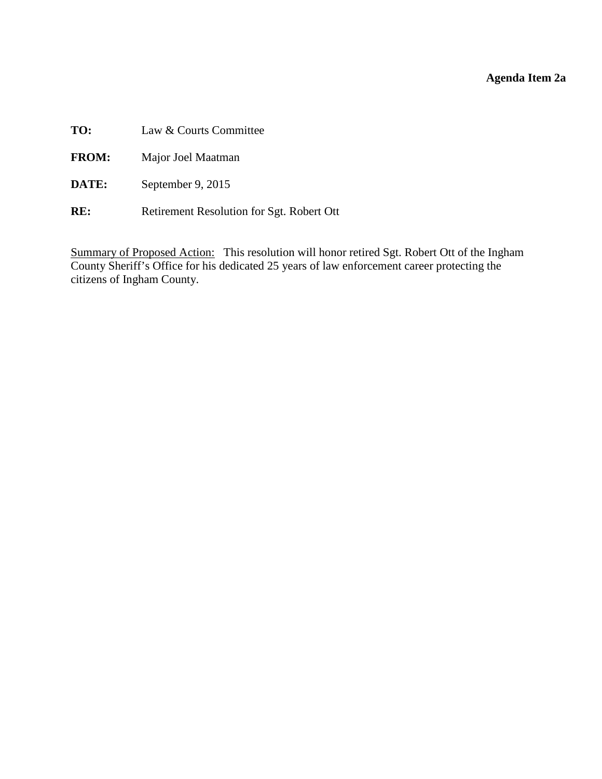## **Agenda Item 2a**

<span id="page-14-0"></span>

| TO:          | Law & Courts Committee                    |
|--------------|-------------------------------------------|
| <b>FROM:</b> | Major Joel Maatman                        |
| DATE:        | September 9, 2015                         |
| RE:          | Retirement Resolution for Sgt. Robert Ott |

Summary of Proposed Action: This resolution will honor retired Sgt. Robert Ott of the Ingham County Sheriff's Office for his dedicated 25 years of law enforcement career protecting the citizens of Ingham County.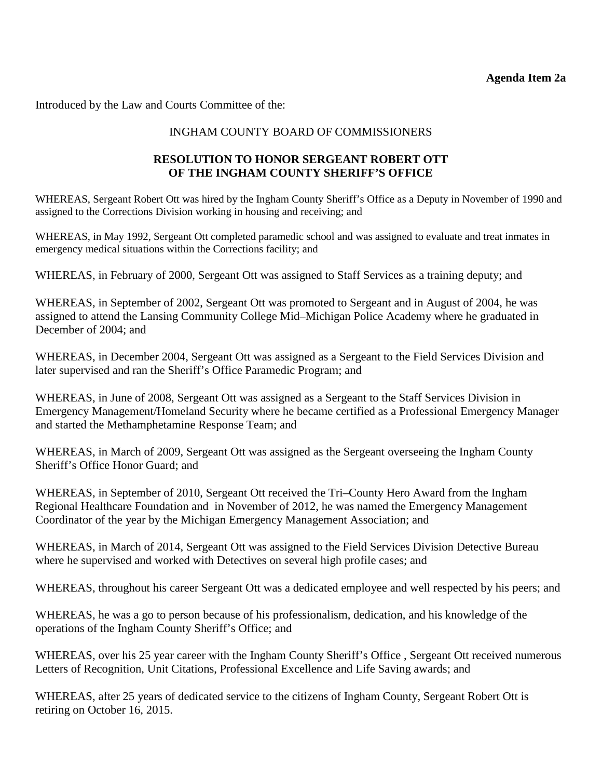Introduced by the Law and Courts Committee of the:

### INGHAM COUNTY BOARD OF COMMISSIONERS

### **RESOLUTION TO HONOR SERGEANT ROBERT OTT OF THE INGHAM COUNTY SHERIFF'S OFFICE**

WHEREAS, Sergeant Robert Ott was hired by the Ingham County Sheriff's Office as a Deputy in November of 1990 and assigned to the Corrections Division working in housing and receiving; and

WHEREAS, in May 1992, Sergeant Ott completed paramedic school and was assigned to evaluate and treat inmates in emergency medical situations within the Corrections facility; and

WHEREAS, in February of 2000, Sergeant Ott was assigned to Staff Services as a training deputy; and

WHEREAS, in September of 2002, Sergeant Ott was promoted to Sergeant and in August of 2004, he was assigned to attend the Lansing Community College Mid–Michigan Police Academy where he graduated in December of 2004; and

WHEREAS, in December 2004, Sergeant Ott was assigned as a Sergeant to the Field Services Division and later supervised and ran the Sheriff's Office Paramedic Program; and

WHEREAS, in June of 2008, Sergeant Ott was assigned as a Sergeant to the Staff Services Division in Emergency Management/Homeland Security where he became certified as a Professional Emergency Manager and started the Methamphetamine Response Team; and

WHEREAS, in March of 2009, Sergeant Ott was assigned as the Sergeant overseeing the Ingham County Sheriff's Office Honor Guard; and

WHEREAS, in September of 2010, Sergeant Ott received the Tri–County Hero Award from the Ingham Regional Healthcare Foundation and in November of 2012, he was named the Emergency Management Coordinator of the year by the Michigan Emergency Management Association; and

WHEREAS, in March of 2014, Sergeant Ott was assigned to the Field Services Division Detective Bureau where he supervised and worked with Detectives on several high profile cases; and

WHEREAS, throughout his career Sergeant Ott was a dedicated employee and well respected by his peers; and

WHEREAS, he was a go to person because of his professionalism, dedication, and his knowledge of the operations of the Ingham County Sheriff's Office; and

WHEREAS, over his 25 year career with the Ingham County Sheriff's Office, Sergeant Ott received numerous Letters of Recognition, Unit Citations, Professional Excellence and Life Saving awards; and

WHEREAS, after 25 years of dedicated service to the citizens of Ingham County, Sergeant Robert Ott is retiring on October 16, 2015.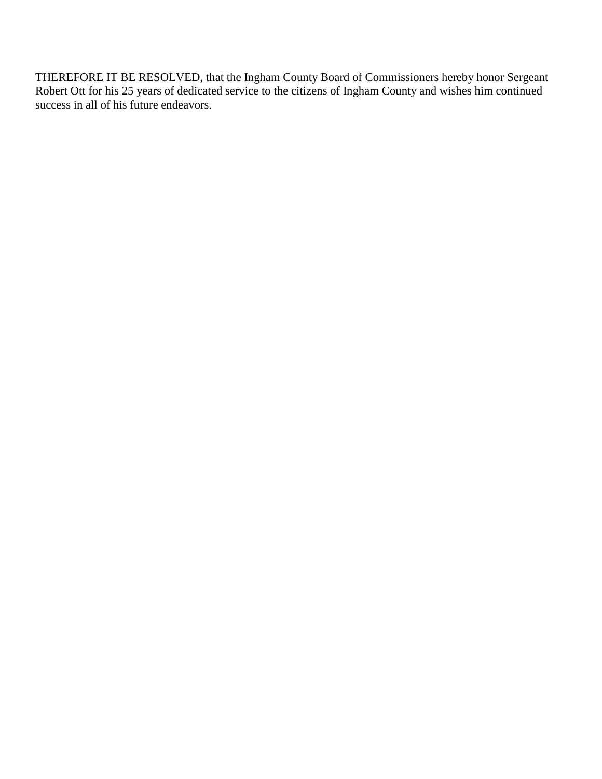THEREFORE IT BE RESOLVED, that the Ingham County Board of Commissioners hereby honor Sergeant Robert Ott for his 25 years of dedicated service to the citizens of Ingham County and wishes him continued success in all of his future endeavors.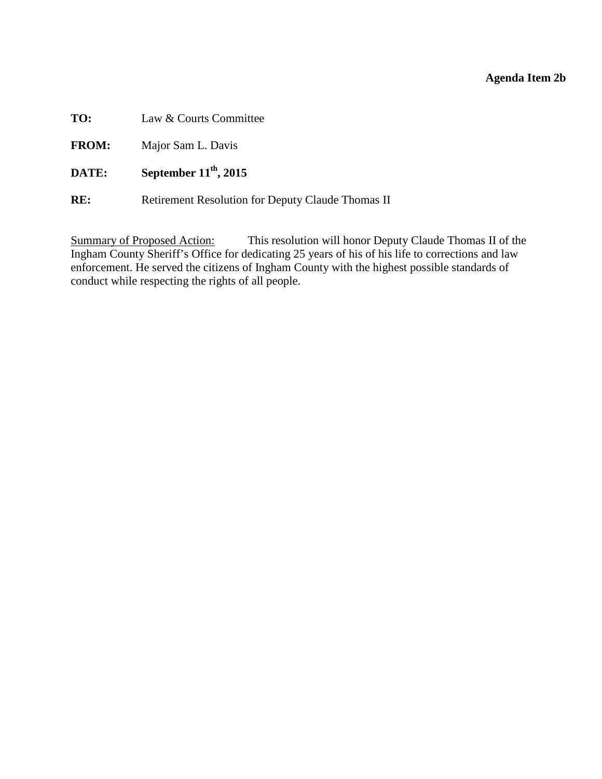### **Agenda Item 2b**

<span id="page-17-0"></span>**TO:** Law & Courts Committee

**FROM:** Major Sam L. Davis

**DATE: September 11<sup>th</sup>, 2015** 

**RE:** Retirement Resolution for Deputy Claude Thomas II

Summary of Proposed Action: This resolution will honor Deputy Claude Thomas II of the Ingham County Sheriff's Office for dedicating 25 years of his of his life to corrections and law enforcement. He served the citizens of Ingham County with the highest possible standards of conduct while respecting the rights of all people.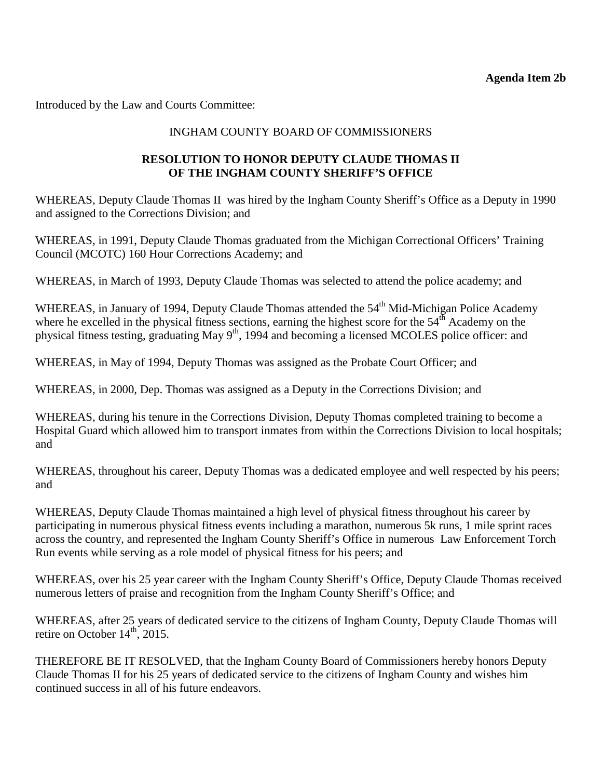Introduced by the Law and Courts Committee:

### INGHAM COUNTY BOARD OF COMMISSIONERS

### **RESOLUTION TO HONOR DEPUTY CLAUDE THOMAS II OF THE INGHAM COUNTY SHERIFF'S OFFICE**

WHEREAS, Deputy Claude Thomas II was hired by the Ingham County Sheriff's Office as a Deputy in 1990 and assigned to the Corrections Division; and

WHEREAS, in 1991, Deputy Claude Thomas graduated from the Michigan Correctional Officers' Training Council (MCOTC) 160 Hour Corrections Academy; and

WHEREAS, in March of 1993, Deputy Claude Thomas was selected to attend the police academy; and

WHEREAS, in January of 1994, Deputy Claude Thomas attended the 54<sup>th</sup> Mid-Michigan Police Academy where he excelled in the physical fitness sections, earning the highest score for the  $54<sup>th</sup>$  Academy on the physical fitness testing, graduating May 9<sup>th</sup>, 1994 and becoming a licensed MCOLES police officer: and

WHEREAS, in May of 1994, Deputy Thomas was assigned as the Probate Court Officer; and

WHEREAS, in 2000, Dep. Thomas was assigned as a Deputy in the Corrections Division; and

WHEREAS, during his tenure in the Corrections Division, Deputy Thomas completed training to become a Hospital Guard which allowed him to transport inmates from within the Corrections Division to local hospitals; and

WHEREAS, throughout his career, Deputy Thomas was a dedicated employee and well respected by his peers; and

WHEREAS, Deputy Claude Thomas maintained a high level of physical fitness throughout his career by participating in numerous physical fitness events including a marathon, numerous 5k runs, 1 mile sprint races across the country, and represented the Ingham County Sheriff's Office in numerous Law Enforcement Torch Run events while serving as a role model of physical fitness for his peers; and

WHEREAS, over his 25 year career with the Ingham County Sheriff's Office, Deputy Claude Thomas received numerous letters of praise and recognition from the Ingham County Sheriff's Office; and

WHEREAS, after 25 years of dedicated service to the citizens of Ingham County, Deputy Claude Thomas will retire on October  $14<sup>th</sup>$ , 2015.

THEREFORE BE IT RESOLVED, that the Ingham County Board of Commissioners hereby honors Deputy Claude Thomas II for his 25 years of dedicated service to the citizens of Ingham County and wishes him continued success in all of his future endeavors.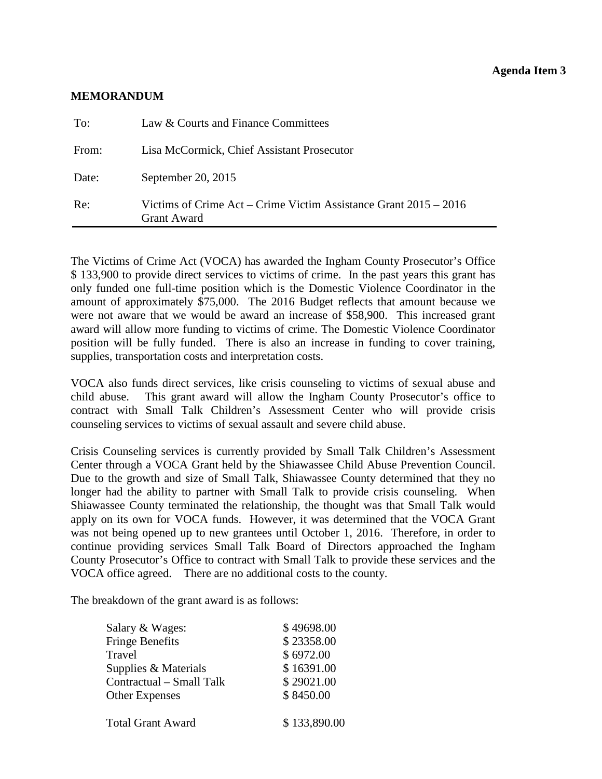#### **Agenda Item 3**

#### <span id="page-19-0"></span>**MEMORANDUM**

| Re:   | Victims of Crime Act – Crime Victim Assistance Grant $2015 - 2016$<br><b>Grant Award</b> |
|-------|------------------------------------------------------------------------------------------|
| Date: | September 20, 2015                                                                       |
| From: | Lisa McCormick, Chief Assistant Prosecutor                                               |
| To:   | Law & Courts and Finance Committees                                                      |

The Victims of Crime Act (VOCA) has awarded the Ingham County Prosecutor's Office \$ 133,900 to provide direct services to victims of crime. In the past years this grant has only funded one full-time position which is the Domestic Violence Coordinator in the amount of approximately \$75,000. The 2016 Budget reflects that amount because we were not aware that we would be award an increase of \$58,900. This increased grant award will allow more funding to victims of crime. The Domestic Violence Coordinator position will be fully funded. There is also an increase in funding to cover training, supplies, transportation costs and interpretation costs.

VOCA also funds direct services, like crisis counseling to victims of sexual abuse and child abuse. This grant award will allow the Ingham County Prosecutor's office to contract with Small Talk Children's Assessment Center who will provide crisis counseling services to victims of sexual assault and severe child abuse.

Crisis Counseling services is currently provided by Small Talk Children's Assessment Center through a VOCA Grant held by the Shiawassee Child Abuse Prevention Council. Due to the growth and size of Small Talk, Shiawassee County determined that they no longer had the ability to partner with Small Talk to provide crisis counseling. When Shiawassee County terminated the relationship, the thought was that Small Talk would apply on its own for VOCA funds. However, it was determined that the VOCA Grant was not being opened up to new grantees until October 1, 2016. Therefore, in order to continue providing services Small Talk Board of Directors approached the Ingham County Prosecutor's Office to contract with Small Talk to provide these services and the VOCA office agreed. There are no additional costs to the county.

The breakdown of the grant award is as follows:

| Salary & Wages:          | \$49698.00   |
|--------------------------|--------------|
| <b>Fringe Benefits</b>   | \$23358.00   |
| Travel                   | \$6972.00    |
| Supplies & Materials     | \$16391.00   |
| Contractual - Small Talk | \$29021.00   |
| <b>Other Expenses</b>    | \$8450.00    |
| <b>Total Grant Award</b> | \$133,890.00 |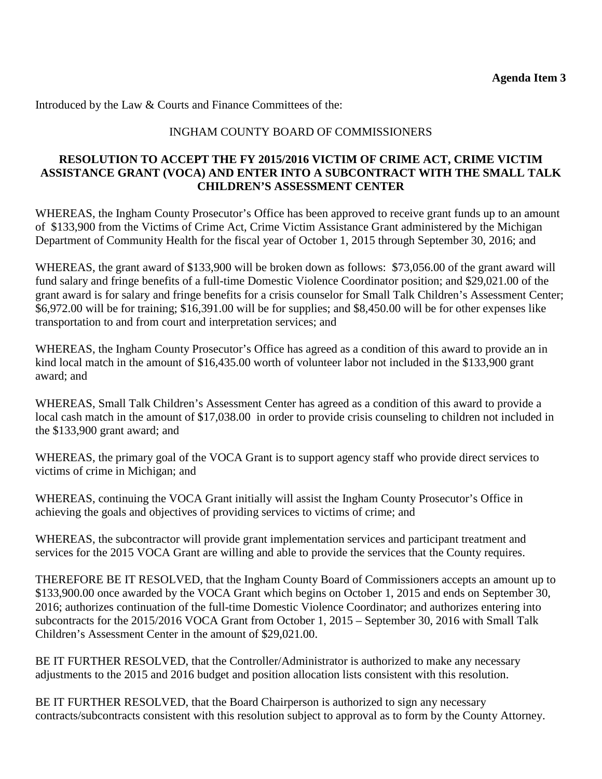Introduced by the Law & Courts and Finance Committees of the:

### INGHAM COUNTY BOARD OF COMMISSIONERS

#### **RESOLUTION TO ACCEPT THE FY 2015/2016 VICTIM OF CRIME ACT, CRIME VICTIM ASSISTANCE GRANT (VOCA) AND ENTER INTO A SUBCONTRACT WITH THE SMALL TALK CHILDREN'S ASSESSMENT CENTER**

WHEREAS, the Ingham County Prosecutor's Office has been approved to receive grant funds up to an amount of \$133,900 from the Victims of Crime Act, Crime Victim Assistance Grant administered by the Michigan Department of Community Health for the fiscal year of October 1, 2015 through September 30, 2016; and

WHEREAS, the grant award of \$133,900 will be broken down as follows: \$73,056.00 of the grant award will fund salary and fringe benefits of a full-time Domestic Violence Coordinator position; and \$29,021.00 of the grant award is for salary and fringe benefits for a crisis counselor for Small Talk Children's Assessment Center; \$6,972.00 will be for training; \$16,391.00 will be for supplies; and \$8,450.00 will be for other expenses like transportation to and from court and interpretation services; and

WHEREAS, the Ingham County Prosecutor's Office has agreed as a condition of this award to provide an in kind local match in the amount of \$16,435.00 worth of volunteer labor not included in the \$133,900 grant award; and

WHEREAS, Small Talk Children's Assessment Center has agreed as a condition of this award to provide a local cash match in the amount of \$17,038.00 in order to provide crisis counseling to children not included in the \$133,900 grant award; and

WHEREAS, the primary goal of the VOCA Grant is to support agency staff who provide direct services to victims of crime in Michigan; and

WHEREAS, continuing the VOCA Grant initially will assist the Ingham County Prosecutor's Office in achieving the goals and objectives of providing services to victims of crime; and

WHEREAS, the subcontractor will provide grant implementation services and participant treatment and services for the 2015 VOCA Grant are willing and able to provide the services that the County requires.

THEREFORE BE IT RESOLVED, that the Ingham County Board of Commissioners accepts an amount up to \$133,900.00 once awarded by the VOCA Grant which begins on October 1, 2015 and ends on September 30, 2016; authorizes continuation of the full-time Domestic Violence Coordinator; and authorizes entering into subcontracts for the 2015/2016 VOCA Grant from October 1, 2015 – September 30, 2016 with Small Talk Children's Assessment Center in the amount of \$29,021.00.

BE IT FURTHER RESOLVED, that the Controller/Administrator is authorized to make any necessary adjustments to the 2015 and 2016 budget and position allocation lists consistent with this resolution.

BE IT FURTHER RESOLVED, that the Board Chairperson is authorized to sign any necessary contracts/subcontracts consistent with this resolution subject to approval as to form by the County Attorney.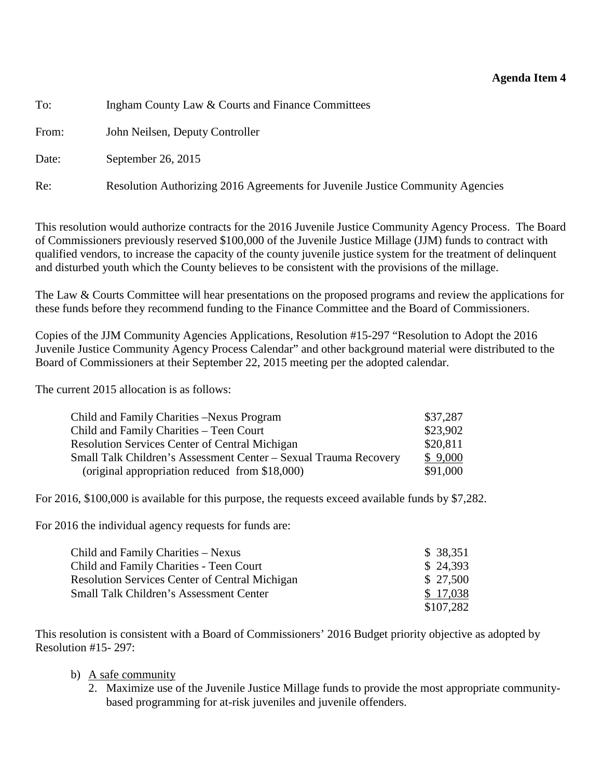#### **Agenda Item 4**

<span id="page-21-0"></span>To: Ingham County Law & Courts and Finance Committees

From: John Neilsen, Deputy Controller

Date: September 26, 2015

Re: Resolution Authorizing 2016 Agreements for Juvenile Justice Community Agencies

This resolution would authorize contracts for the 2016 Juvenile Justice Community Agency Process. The Board of Commissioners previously reserved \$100,000 of the Juvenile Justice Millage (JJM) funds to contract with qualified vendors, to increase the capacity of the county juvenile justice system for the treatment of delinquent and disturbed youth which the County believes to be consistent with the provisions of the millage.

The Law & Courts Committee will hear presentations on the proposed programs and review the applications for these funds before they recommend funding to the Finance Committee and the Board of Commissioners.

Copies of the JJM Community Agencies Applications, Resolution #15-297 "Resolution to Adopt the 2016 Juvenile Justice Community Agency Process Calendar" and other background material were distributed to the Board of Commissioners at their September 22, 2015 meeting per the adopted calendar.

The current 2015 allocation is as follows:

| Child and Family Charities –Nexus Program                        | \$37,287 |
|------------------------------------------------------------------|----------|
| Child and Family Charities – Teen Court                          | \$23,902 |
| <b>Resolution Services Center of Central Michigan</b>            | \$20,811 |
| Small Talk Children's Assessment Center – Sexual Trauma Recovery | \$9,000  |
| (original appropriation reduced from \$18,000)                   | \$91,000 |

For 2016, \$100,000 is available for this purpose, the requests exceed available funds by \$7,282.

For 2016 the individual agency requests for funds are:

| Child and Family Charities – Nexus                    | \$38,351  |
|-------------------------------------------------------|-----------|
| Child and Family Charities - Teen Court               | \$24,393  |
| <b>Resolution Services Center of Central Michigan</b> | \$27,500  |
| <b>Small Talk Children's Assessment Center</b>        | \$17,038  |
|                                                       | \$107,282 |

This resolution is consistent with a Board of Commissioners' 2016 Budget priority objective as adopted by Resolution #15- 297:

- b) A safe community
	- 2. Maximize use of the Juvenile Justice Millage funds to provide the most appropriate communitybased programming for at-risk juveniles and juvenile offenders.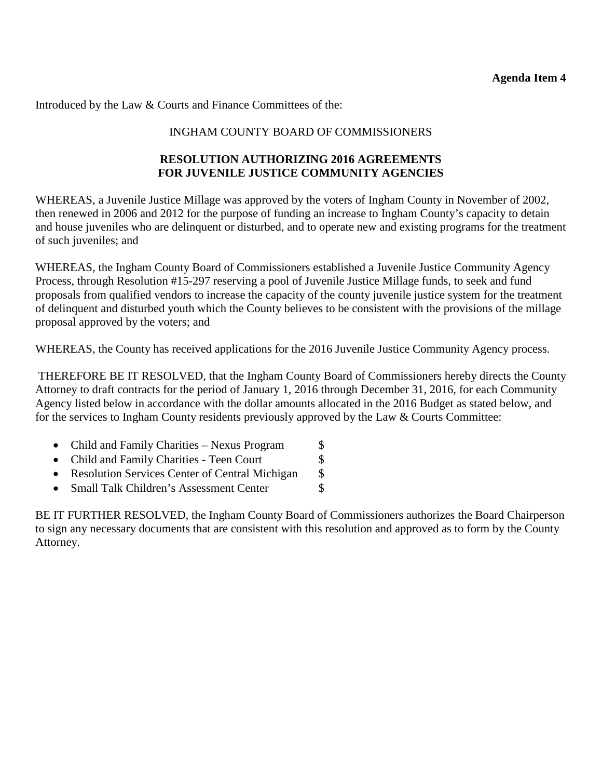Introduced by the Law & Courts and Finance Committees of the:

### INGHAM COUNTY BOARD OF COMMISSIONERS

### **RESOLUTION AUTHORIZING 2016 AGREEMENTS FOR JUVENILE JUSTICE COMMUNITY AGENCIES**

WHEREAS, a Juvenile Justice Millage was approved by the voters of Ingham County in November of 2002, then renewed in 2006 and 2012 for the purpose of funding an increase to Ingham County's capacity to detain and house juveniles who are delinquent or disturbed, and to operate new and existing programs for the treatment of such juveniles; and

WHEREAS, the Ingham County Board of Commissioners established a Juvenile Justice Community Agency Process, through Resolution #15-297 reserving a pool of Juvenile Justice Millage funds, to seek and fund proposals from qualified vendors to increase the capacity of the county juvenile justice system for the treatment of delinquent and disturbed youth which the County believes to be consistent with the provisions of the millage proposal approved by the voters; and

WHEREAS, the County has received applications for the 2016 Juvenile Justice Community Agency process.

THEREFORE BE IT RESOLVED, that the Ingham County Board of Commissioners hereby directs the County Attorney to draft contracts for the period of January 1, 2016 through December 31, 2016, for each Community Agency listed below in accordance with the dollar amounts allocated in the 2016 Budget as stated below, and for the services to Ingham County residents previously approved by the Law & Courts Committee:

| • Child and Family Charities – Nexus Program     | $\mathbb{S}^-$ |
|--------------------------------------------------|----------------|
| • Child and Family Charities - Teen Court        | <sup>\$</sup>  |
| • Resolution Services Center of Central Michigan | <sup>S</sup>   |

• Small Talk Children's Assessment Center  $\sim$  \$

BE IT FURTHER RESOLVED, the Ingham County Board of Commissioners authorizes the Board Chairperson to sign any necessary documents that are consistent with this resolution and approved as to form by the County Attorney.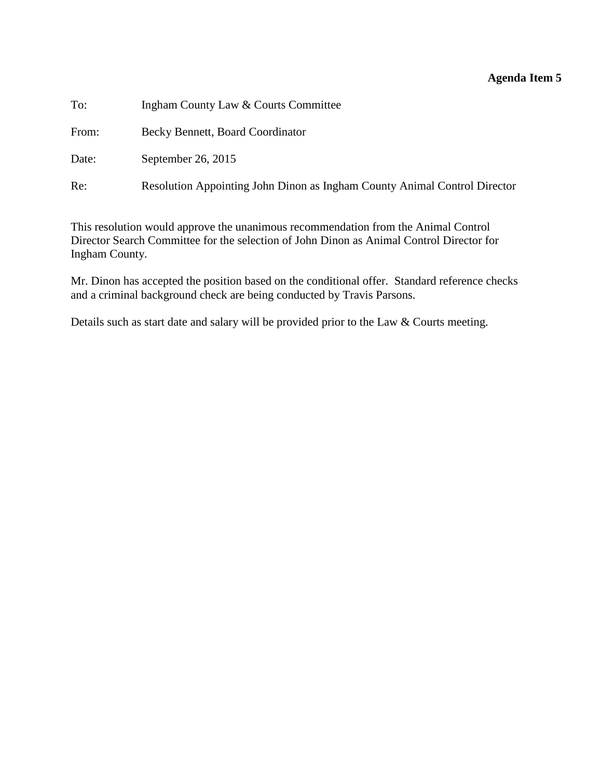### **Agenda Item 5**

<span id="page-23-0"></span>

| To:   | Ingham County Law & Courts Committee                                      |
|-------|---------------------------------------------------------------------------|
| From: | Becky Bennett, Board Coordinator                                          |
| Date: | September 26, 2015                                                        |
| Re:   | Resolution Appointing John Dinon as Ingham County Animal Control Director |

This resolution would approve the unanimous recommendation from the Animal Control Director Search Committee for the selection of John Dinon as Animal Control Director for Ingham County.

Mr. Dinon has accepted the position based on the conditional offer. Standard reference checks and a criminal background check are being conducted by Travis Parsons.

Details such as start date and salary will be provided prior to the Law & Courts meeting.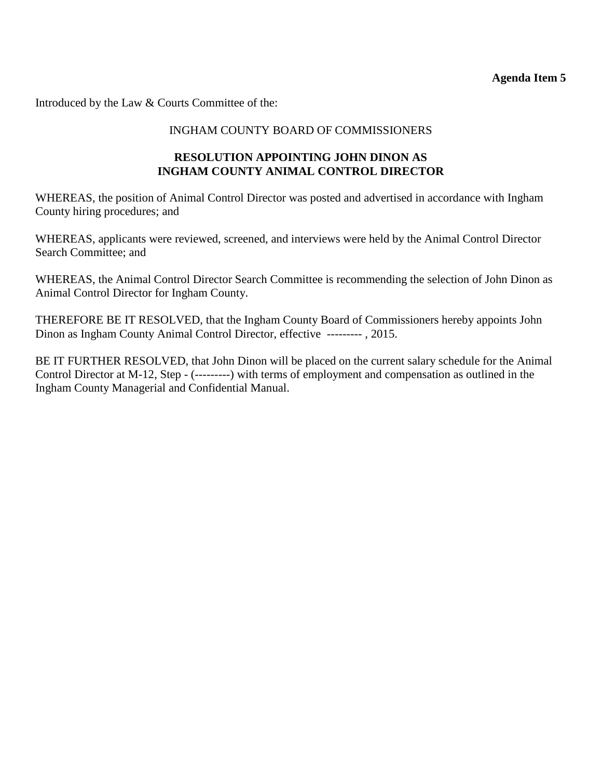Introduced by the Law & Courts Committee of the:

### INGHAM COUNTY BOARD OF COMMISSIONERS

### **RESOLUTION APPOINTING JOHN DINON AS INGHAM COUNTY ANIMAL CONTROL DIRECTOR**

WHEREAS, the position of Animal Control Director was posted and advertised in accordance with Ingham County hiring procedures; and

WHEREAS, applicants were reviewed, screened, and interviews were held by the Animal Control Director Search Committee; and

WHEREAS, the Animal Control Director Search Committee is recommending the selection of John Dinon as Animal Control Director for Ingham County.

THEREFORE BE IT RESOLVED, that the Ingham County Board of Commissioners hereby appoints John Dinon as Ingham County Animal Control Director, effective --------- , 2015.

BE IT FURTHER RESOLVED, that John Dinon will be placed on the current salary schedule for the Animal Control Director at M-12, Step - (---------) with terms of employment and compensation as outlined in the Ingham County Managerial and Confidential Manual.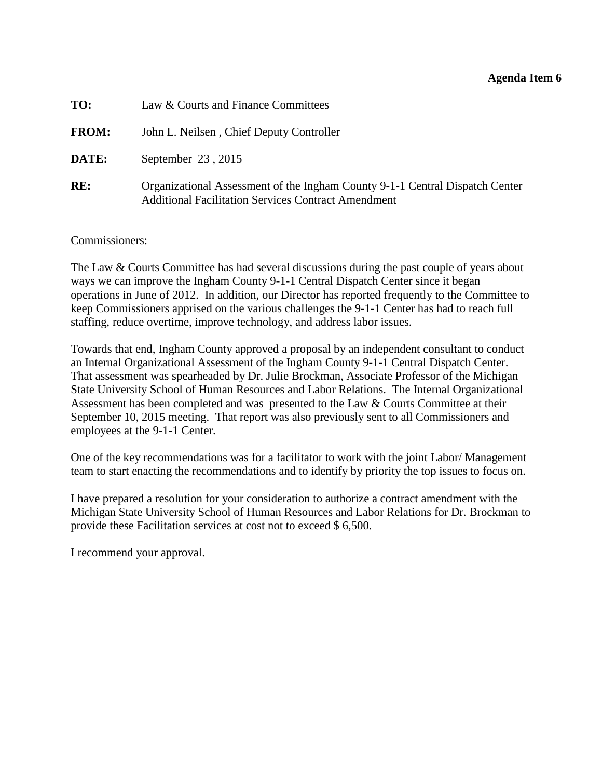#### **Agenda Item 6**

<span id="page-25-0"></span>

| TO:          | Law & Courts and Finance Committees                                                                                                        |
|--------------|--------------------------------------------------------------------------------------------------------------------------------------------|
| <b>FROM:</b> | John L. Neilsen, Chief Deputy Controller                                                                                                   |
| DATE:        | September 23, 2015                                                                                                                         |
| RE:          | Organizational Assessment of the Ingham County 9-1-1 Central Dispatch Center<br><b>Additional Facilitation Services Contract Amendment</b> |

Commissioners:

The Law & Courts Committee has had several discussions during the past couple of years about ways we can improve the Ingham County 9-1-1 Central Dispatch Center since it began operations in June of 2012. In addition, our Director has reported frequently to the Committee to keep Commissioners apprised on the various challenges the 9-1-1 Center has had to reach full staffing, reduce overtime, improve technology, and address labor issues.

Towards that end, Ingham County approved a proposal by an independent consultant to conduct an Internal Organizational Assessment of the Ingham County 9-1-1 Central Dispatch Center. That assessment was spearheaded by Dr. Julie Brockman, Associate Professor of the Michigan State University School of Human Resources and Labor Relations. The Internal Organizational Assessment has been completed and was presented to the Law & Courts Committee at their September 10, 2015 meeting. That report was also previously sent to all Commissioners and employees at the 9-1-1 Center.

One of the key recommendations was for a facilitator to work with the joint Labor/ Management team to start enacting the recommendations and to identify by priority the top issues to focus on.

I have prepared a resolution for your consideration to authorize a contract amendment with the Michigan State University School of Human Resources and Labor Relations for Dr. Brockman to provide these Facilitation services at cost not to exceed \$ 6,500.

I recommend your approval.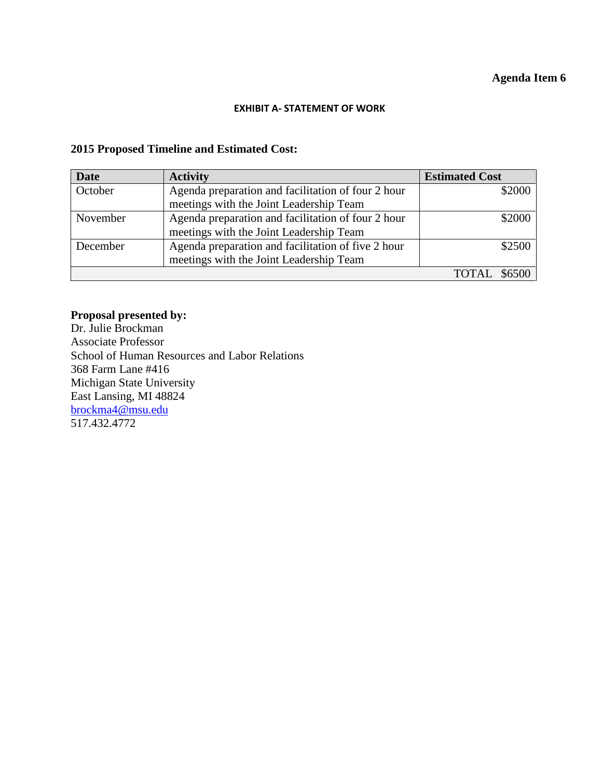#### **EXHIBIT A- STATEMENT OF WORK**

### **2015 Proposed Timeline and Estimated Cost:**

| <b>Date</b> | <b>Activity</b>                                    | <b>Estimated Cost</b> |
|-------------|----------------------------------------------------|-----------------------|
| October     | Agenda preparation and facilitation of four 2 hour | \$2000                |
|             | meetings with the Joint Leadership Team            |                       |
| November    | Agenda preparation and facilitation of four 2 hour | \$2000                |
|             | meetings with the Joint Leadership Team            |                       |
| December    | Agenda preparation and facilitation of five 2 hour | \$2500                |
|             | meetings with the Joint Leadership Team            |                       |
|             |                                                    |                       |

## **Proposal presented by:**

Dr. Julie Brockman Associate Professor School of Human Resources and Labor Relations 368 Farm Lane #416 Michigan State University East Lansing, MI 48824 [brockma4@msu.edu](mailto:brockma4@msu.edu) 517.432.4772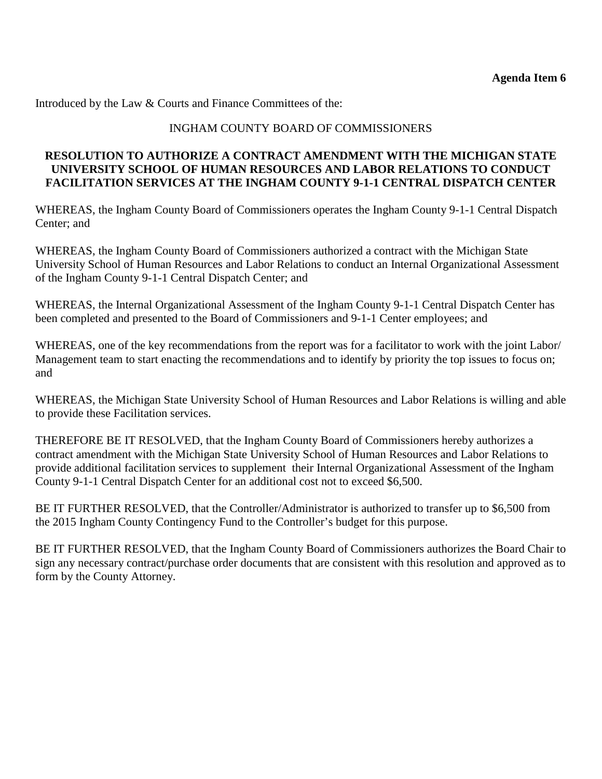Introduced by the Law & Courts and Finance Committees of the:

### INGHAM COUNTY BOARD OF COMMISSIONERS

### **RESOLUTION TO AUTHORIZE A CONTRACT AMENDMENT WITH THE MICHIGAN STATE UNIVERSITY SCHOOL OF HUMAN RESOURCES AND LABOR RELATIONS TO CONDUCT FACILITATION SERVICES AT THE INGHAM COUNTY 9-1-1 CENTRAL DISPATCH CENTER**

WHEREAS, the Ingham County Board of Commissioners operates the Ingham County 9-1-1 Central Dispatch Center; and

WHEREAS, the Ingham County Board of Commissioners authorized a contract with the Michigan State University School of Human Resources and Labor Relations to conduct an Internal Organizational Assessment of the Ingham County 9-1-1 Central Dispatch Center; and

WHEREAS, the Internal Organizational Assessment of the Ingham County 9-1-1 Central Dispatch Center has been completed and presented to the Board of Commissioners and 9-1-1 Center employees; and

WHEREAS, one of the key recommendations from the report was for a facilitator to work with the joint Labor/ Management team to start enacting the recommendations and to identify by priority the top issues to focus on; and

WHEREAS, the Michigan State University School of Human Resources and Labor Relations is willing and able to provide these Facilitation services.

THEREFORE BE IT RESOLVED, that the Ingham County Board of Commissioners hereby authorizes a contract amendment with the Michigan State University School of Human Resources and Labor Relations to provide additional facilitation services to supplement their Internal Organizational Assessment of the Ingham County 9-1-1 Central Dispatch Center for an additional cost not to exceed \$6,500.

BE IT FURTHER RESOLVED, that the Controller/Administrator is authorized to transfer up to \$6,500 from the 2015 Ingham County Contingency Fund to the Controller's budget for this purpose.

BE IT FURTHER RESOLVED, that the Ingham County Board of Commissioners authorizes the Board Chair to sign any necessary contract/purchase order documents that are consistent with this resolution and approved as to form by the County Attorney.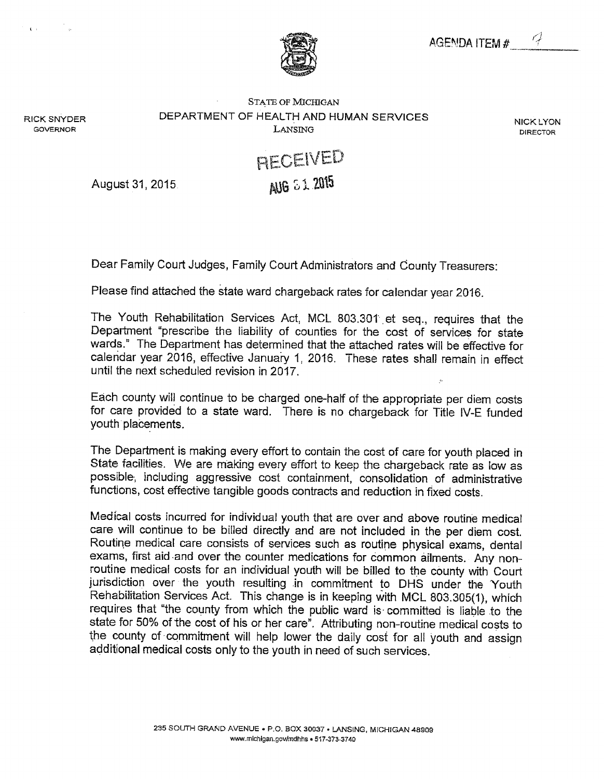

August 31, 2015.

Dear Family Court Judges, Family Court Administrators and County Treasurers:

Please find attached the state ward chargeback rates for calendar year 2016.

The Youth Rehabilitation Services Act, MCL 803.301 et seq., requires that the Department "prescribe the liability of counties for the cost of services for state wards." The Department has determined that the attached rates will be effective for calendar year 2016, effective January 1, 2016. These rates shall remain in effect until the next scheduled revision in 2017.

Each county will continue to be charged one-half of the appropriate per diem costs for care provided to a state ward. There is no chargeback for Title IV-E funded youth placements.

The Department is making every effort to contain the cost of care for youth placed in State facilities. We are making every effort to keep the chargeback rate as low as possible, including aggressive cost containment, consolidation of administrative functions, cost effective tangible goods contracts and reduction in fixed costs.

Medical costs incurred for individual youth that are over and above routine medical care will continue to be billed directly and are not included in the per diem cost. Routine medical care consists of services such as routine physical exams, dental exams, first aid and over the counter medications for common ailments. Any nonroutine medical costs for an individual youth will be billed to the county with Court jurisdiction over the youth resulting in commitment to DHS under the Youth Rehabilitation Services Act. This change is in keeping with MCL 803.305(1), which requires that "the county from which the public ward is committed is liable to the state for 50% of the cost of his or her care". Attributing non-routine medical costs to the county of commitment will help lower the daily cost for all youth and assign additional medical costs only to the youth in need of such services.

**NICK LYON** 

**DIRECTOR** 

**RICK SNYDER GOVERNOR** 

 $\mathbf{C}$  is  $\mathbf{C}$  .

DEPARTMENT OF HEALTH AND HUMAN SERVICES LANSING

**STATE OF MICHIGAN** 

RECEIVED AUG 51 2015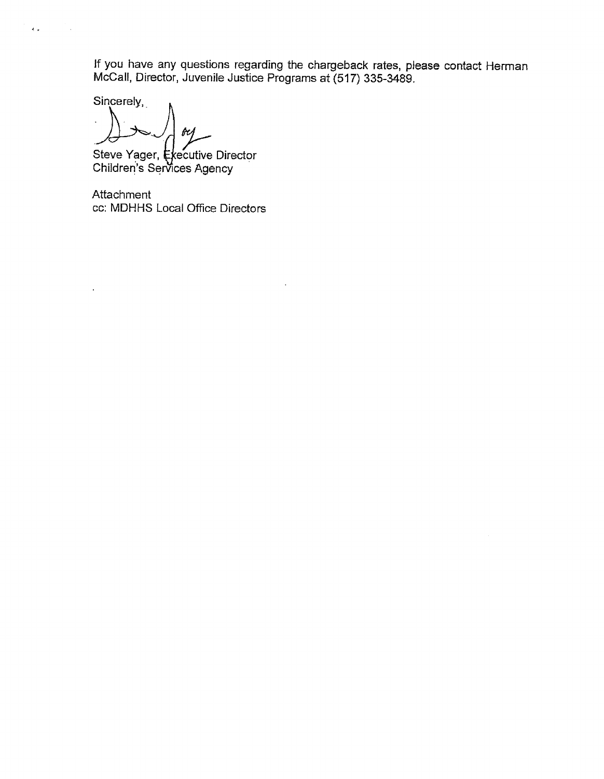If you have any questions regarding the chargeback rates, please contact Herman<br>McCall, Director, Juvenile Justice Programs at (517) 335-3489.

Sincerely,

 $\epsilon$ 

 $\bar{\psi}$  ,

 $\sim$ 

**fr1** 

Steve Yager, Executive Director<br>Children's Services Agency

Attachment cc: MDHHS Local Office Directors